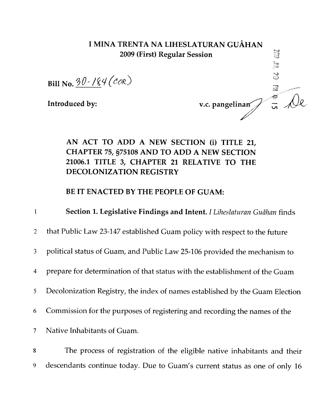## I MINA TRENTA NA LIHESLATURAN GUÅHAN 2009 (First) Regular Session

Bill No.  $30$  /84 (COR)

Introduced by:

v.c. pangelinan $\int_{-\infty}^{\infty}$   $\int_{\mathcal{C}}$ 

 $\approx$ 

## AN ACT TO ADD A NEW SECTION (i) TITLE 21, CHAPTER 75, §75108 AND TO ADD A NEW SECTION 21006.1 TITLE 3, CHAPTER 21 RELATIVE TO THE DECOLONIZATION REGISTRY

BE IT ENACTED BY THE PEOPLE OF GUAM:

- 1 **Section 1. Legislative Findings and Intent.** *I Liheslaturan Guåhan* finds 2 that Public Law 23-147 established Guam policy with respect to the future 3 political status of Guam, and Public Law 25-106 provided the mechanism to 4 prepare for determination of that status with the establishment of the Guam 5 Decolonization Registry, the index of names established by the Guam Election <sup>6</sup> Commission for the purposes of registering and recording the names of the 7 Native Inhabitants of Guam.
- 8 The process of registration of the eligible native inhabitants and their <sup>9</sup> descendants continue today. Due to Guam's current status as one of only 16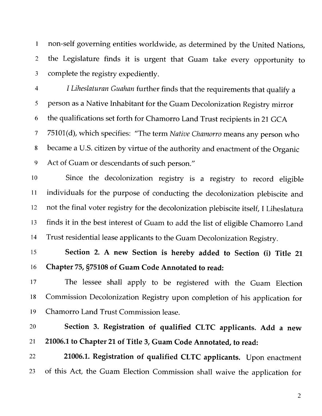non-self governing entities worldwide, as determined by the United Nations, the Legislature finds it is urgent that Guam take every opportunity to complete the registry expediently.

 *I Liheslaturan Guahan* further finds that the requirements that qualify a person as a Native Inhabitant for the Guam Decolonization Registry mirror the qualifications set forth for Chamorro Land Trust recipients in 21 GCA 75101(d), which specifies: "The term *Native Chamorro* means any person who became a U.S. citizen by virtue of the authority and enactment of the Organic Act of Guam or descendants of such person."

 Since the decolonization registry is a registry to record eligible individuals for the purpose of conducting the decolonization plebiscite and not the final voter registry for the decolonization plebiscite itself, I Liheslatura finds it in the best interest of Guam to add the list of eligible Chamorro Land Trust residential lease applicants to the Guam Decolonization Registry.

 Section 2. A new Section is hereby added to Section (i) Title 21 Chapter 75, §75108 of Guam Code Annotated to read:

 The lessee shall apply to be registered with the Guam Election Commission Decolonization Registry upon completion of his application for Chamorro Land Trust Commission lease.

 Section 3. Registration of qualified CLTC applicants. Add a new 21006.1 to Chapter 21 of Title 3, Guam Code Annotated, to read:

22 21006.1. Registration of qualified CLTC applicants. Upon enactment of this Act, the Guam Election Commission shall waive the application for